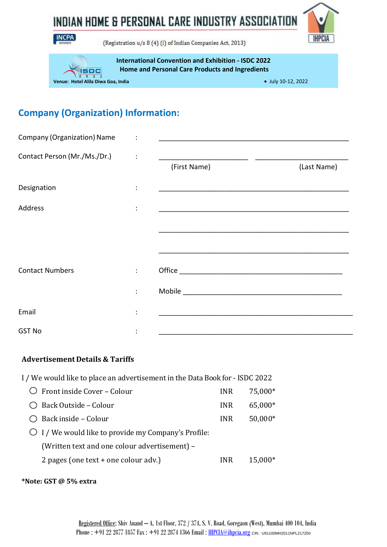

INDIAN HOME & PERSONAL CARE INDUSTRY ASSOCIATION



(Registration u/s 8 (4) (i) of Indian Companies Act, 2013)

**International Convention and Exhibition - ISDC 2022 Home and Personal Care Products and Ingredients**

anc **Venue: Hotel Alila Diwa Goa, India July 10-12, 2022** 

# **Company (Organization) Information:**

| <b>Company (Organization) Name</b> |                |              |             |
|------------------------------------|----------------|--------------|-------------|
| Contact Person (Mr./Ms./Dr.)       |                | (First Name) | (Last Name) |
| Designation                        |                |              |             |
| Address                            | $\ddot{\cdot}$ |              |             |
|                                    |                |              |             |
| <b>Contact Numbers</b>             | ÷              |              |             |
|                                    |                |              |             |
| Email                              |                |              |             |
| <b>GST No</b>                      |                |              |             |

#### **Advertisement Details & Tariffs**

- I / We would like to place an advertisementin the Data Book for ISDC 2022
	- $\overline{O}$  Front inside Cover Colour INR 75,000\* Back Outside – Colour INR 65,000\* ○ Back inside – Colour INR 50,000\*  $\bigcirc$  I / We would like to provide my Company's Profile: (Written text and one colour advertisement) – 2 pages (one text + one colour adv.) INR 15,000\*

**\*Note: GST @ 5% extra**